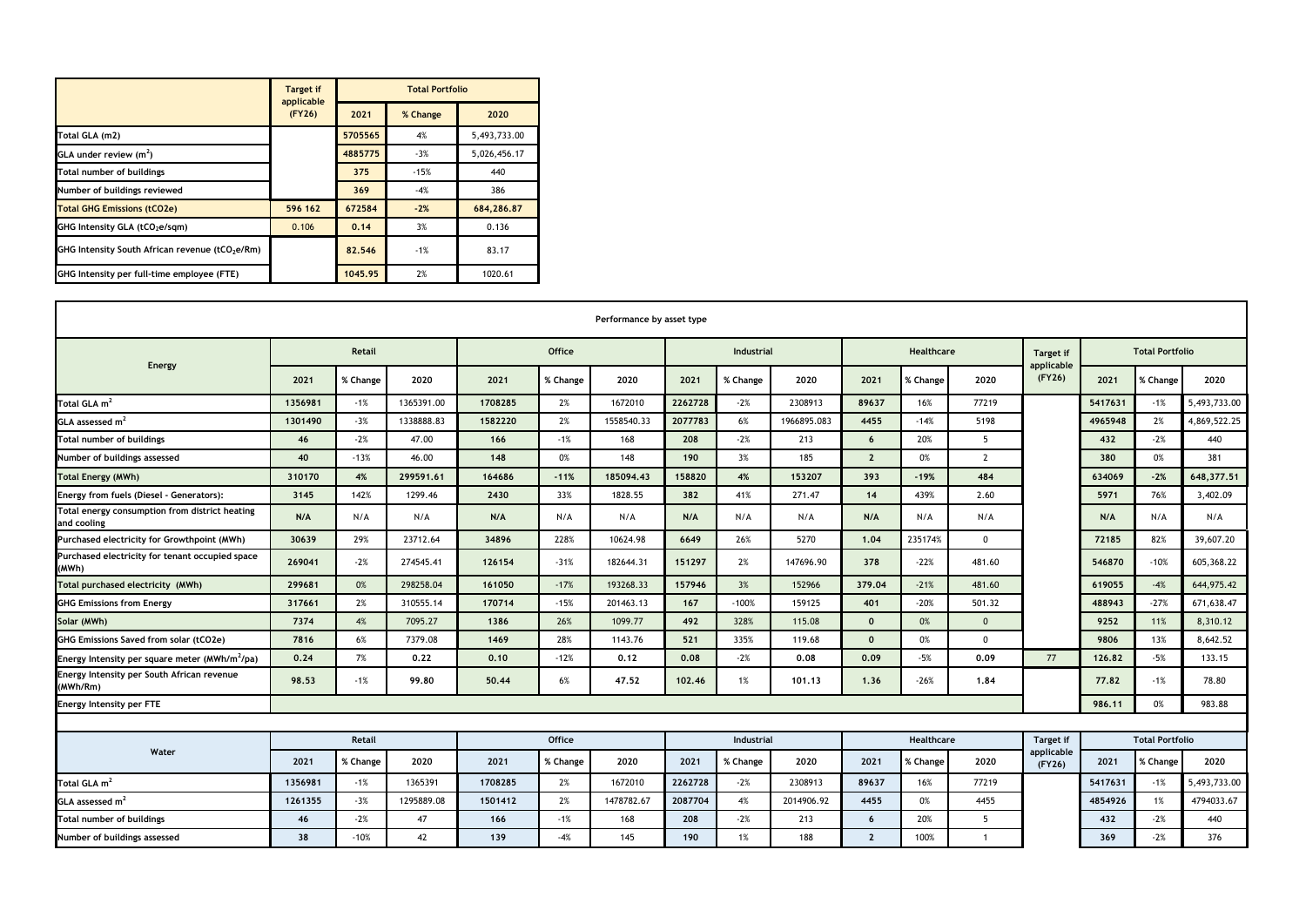|                                                             | <b>Target if</b><br>applicable | <b>Total Portfolio</b> |          |              |  |  |  |  |  |
|-------------------------------------------------------------|--------------------------------|------------------------|----------|--------------|--|--|--|--|--|
|                                                             | (FY26)                         | 2021                   | % Change | 2020         |  |  |  |  |  |
| Total GLA (m2)                                              |                                | 5705565                | 4%       | 5,493,733.00 |  |  |  |  |  |
| GLA under review $(m2)$                                     |                                | 4885775                | $-3%$    | 5,026,456.17 |  |  |  |  |  |
| Total number of buildings                                   |                                | 375                    | $-15%$   | 440          |  |  |  |  |  |
| Number of buildings reviewed                                |                                | 369                    | $-4%$    | 386          |  |  |  |  |  |
| <b>Total GHG Emissions (tCO2e)</b>                          | 596 162                        | 672584                 | $-2%$    | 684,286.87   |  |  |  |  |  |
| GHG Intensity GLA (tCO <sub>2</sub> e/sqm)                  | 0.106                          | 0.14                   | 3%       | 0.136        |  |  |  |  |  |
| GHG Intensity South African revenue (tCO <sub>2</sub> e/Rm) |                                | 82.546                 | $-1%$    | 83.17        |  |  |  |  |  |
| GHG Intensity per full-time employee (FTE)                  |                                | 1045.95                | 2%       | 1020.61      |  |  |  |  |  |

| Performance by asset type                                     |               |          |               |               |          |            |                   |          |             |                 |          |                  |                         |                        |          |              |  |
|---------------------------------------------------------------|---------------|----------|---------------|---------------|----------|------------|-------------------|----------|-------------|-----------------|----------|------------------|-------------------------|------------------------|----------|--------------|--|
| Energy                                                        | <b>Retail</b> |          |               | <b>Office</b> |          |            | <b>Industrial</b> |          |             | Healthcare      |          |                  | Target if<br>applicable | <b>Total Portfolio</b> |          |              |  |
|                                                               | 2021          | % Change | 2020          | 2021          | % Change | 2020       | 2021              | % Change | 2020        | 2021            | % Change | 2020             | (FY26)                  | 2021                   | % Change | 2020         |  |
| Total GLA m <sup>2</sup>                                      | 1356981       | $-1%$    | 1365391.00    | 1708285       | 2%       | 1672010    | 2262728           | $-2%$    | 2308913     | 89637           | 16%      | 77219            |                         | 5417631                | $-1%$    | 5,493,733.00 |  |
| GLA assessed $m2$                                             | 1301490       | $-3%$    | 1338888.83    | 1582220       | 2%       | 1558540.33 | 2077783           | 6%       | 1966895.083 | 4455            | $-14%$   | 5198             |                         | 4965948                | 2%       | 4,869,522.25 |  |
| <b>Total number of buildings</b>                              | 46            | $-2%$    | 47.00         | 166           | $-1%$    | 168        | 208               | $-2%$    | 213         | $6\overline{6}$ | 20%      | 5                |                         | 432                    | $-2%$    | 440          |  |
| Number of buildings assessed                                  | 40            | $-13%$   | 46.00         | 148           | 0%       | 148        | 190               | 3%       | 185         | $\overline{2}$  | 0%       | $\overline{2}$   |                         | 380                    | 0%       | 381          |  |
| <b>Total Energy (MWh)</b>                                     | 310170        | 4%       | 299591.61     | 164686        | $-11%$   | 185094.43  | 158820            | 4%       | 153207      | 393             | $-19%$   | 484              |                         | 634069                 | $-2%$    | 648,377.51   |  |
| Energy from fuels (Diesel - Generators):                      | 3145          | 142%     | 1299.46       | 2430          | 33%      | 1828.55    | 382               | 41%      | 271.47      | 14              | 439%     | 2.60             |                         | 5971                   | 76%      | 3,402.09     |  |
| Total energy consumption from district heating<br>and cooling | N/A           | N/A      | N/A           | N/A           | N/A      | N/A        | N/A               | N/A      | N/A         | N/A             | N/A      | N/A              |                         | N/A                    | N/A      | N/A          |  |
| Purchased electricity for Growthpoint (MWh)                   | 30639         | 29%      | 23712.64      | 34896         | 228%     | 10624.98   | 6649              | 26%      | 5270        | 1.04            | 235174%  | $\mathbf 0$      |                         | 72185                  | 82%      | 39,607.20    |  |
| Purchased electricity for tenant occupied space<br>(MWh)      | 269041        | $-2%$    | 274545.41     | 126154        | $-31%$   | 182644.31  | 151297            | 2%       | 147696.90   | 378             | $-22%$   | 481.60           |                         | 546870                 | $-10%$   | 605,368.22   |  |
| Total purchased electricity (MWh)                             | 299681        | 0%       | 298258.04     | 161050        | $-17%$   | 193268.33  | 157946            | 3%       | 152966      | 379.04          | $-21%$   | 481.60           |                         | 619055                 | $-4%$    | 644,975.42   |  |
| <b>GHG Emissions from Energy</b>                              | 317661        | 2%       | 310555.14     | 170714        | $-15%$   | 201463.13  | 167               | $-100%$  | 159125      | 401             | $-20%$   | 501.32           |                         | 488943                 | $-27%$   | 671,638.47   |  |
| Solar (MWh)                                                   | 7374          | 4%       | 7095.27       | 1386          | 26%      | 1099.77    | 492               | 328%     | 115.08      | $\mathbf{0}$    | 0%       | $\overline{0}$   |                         | 9252                   | 11%      | 8,310.12     |  |
| <b>GHG Emissions Saved from solar (tCO2e)</b>                 | 7816          | 6%       | 7379.08       | 1469          | 28%      | 1143.76    | 521               | 335%     | 119.68      | $\Omega$        | 0%       | $\mathbf 0$      |                         | 9806                   | 13%      | 8,642.52     |  |
| Energy Intensity per square meter (MWh/m <sup>2</sup> /pa)    | 0.24          | 7%       | 0.22          | 0.10          | $-12%$   | 0.12       | 0.08              | $-2%$    | 0.08        | 0.09            | $-5%$    | 0.09             | 77                      | 126.82                 | -5%      | 133.15       |  |
| Energy Intensity per South African revenue<br>(MWh/Rm)        | 98.53         | $-1%$    | 99.80         | 50.44         | 6%       | 47.52      | 102.46            | 1%       | 101.13      | 1.36            | $-26%$   | 1.84             |                         | 77.82                  | $-1%$    | 78.80        |  |
| <b>Energy Intensity per FTE</b>                               |               |          |               |               |          |            |                   |          |             |                 |          |                  |                         | 986.11                 | 0%       | 983.88       |  |
|                                                               |               |          |               |               |          |            |                   |          |             |                 |          |                  |                         |                        |          |              |  |
| Water                                                         | Retail        |          | <b>Office</b> |               |          | Industrial |                   |          | Healthcare  |                 |          | <b>Target if</b> |                         | <b>Total Portfolio</b> |          |              |  |
|                                                               | 2021          | % Change | 2020          | 2021          | % Change | 2020       | 2021              | % Change | 2020        | 2021            | % Change | 2020             | applicable<br>(FY26)    | 2021                   | % Change | 2020         |  |
| Total GLA m <sup>2</sup>                                      | 1356981       | $-1%$    | 1365391       | 1708285       | 2%       | 1672010    | 2262728           | $-2%$    | 2308913     | 89637           | 16%      | 77219            |                         | 5417631                | $-1%$    | 5,493,733.00 |  |
| GLA assessed m <sup>2</sup>                                   | 1261355       | $-3%$    | 1295889.08    | 1501412       | 2%       | 1478782.67 | 2087704           | 4%       | 2014906.92  | 4455            | 0%       | 4455             |                         | 4854926                | 1%       | 4794033.67   |  |
| Total number of buildings                                     | 46            | $-2%$    | 47            | 166           | $-1%$    | 168        | 208               | $-2%$    | 213         | $6\overline{6}$ | 20%      | -5               |                         | 432                    | $-2%$    | 440          |  |
| Number of buildings assessed                                  | 38            | $-10%$   | 42            | 139           | $-4%$    | 145        | 190               | 1%       | 188         | $\overline{2}$  | 100%     |                  |                         | 369                    | $-2%$    | 376          |  |